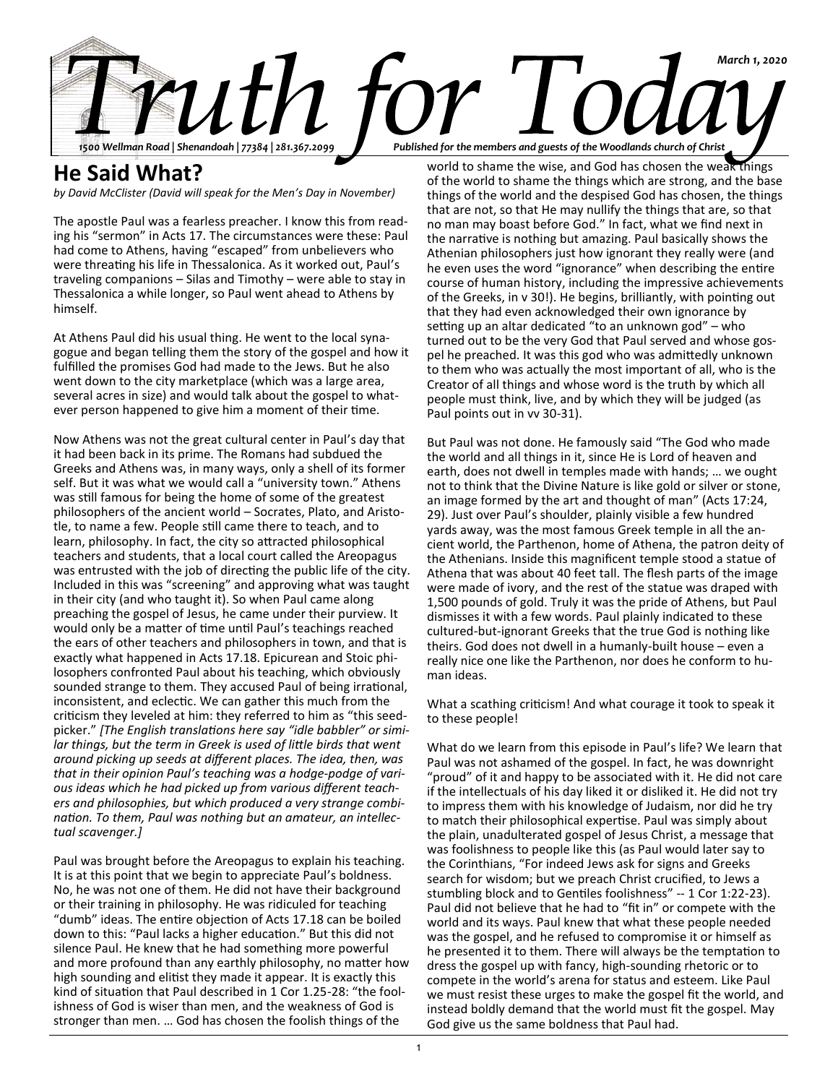

# **He Said What?**

*by David McClister (David will speak for the Men's Day in November)*

The apostle Paul was a fearless preacher. I know this from reading his "sermon" in Acts 17. The circumstances were these: Paul had come to Athens, having "escaped" from unbelievers who were threating his life in Thessalonica. As it worked out, Paul's traveling companions – Silas and Timothy – were able to stay in Thessalonica a while longer, so Paul went ahead to Athens by himself.

At Athens Paul did his usual thing. He went to the local synagogue and began telling them the story of the gospel and how it fulfilled the promises God had made to the Jews. But he also went down to the city marketplace (which was a large area, several acres in size) and would talk about the gospel to whatever person happened to give him a moment of their time.

Now Athens was not the great cultural center in Paul's day that it had been back in its prime. The Romans had subdued the Greeks and Athens was, in many ways, only a shell of its former self. But it was what we would call a "university town." Athens was still famous for being the home of some of the greatest philosophers of the ancient world – Socrates, Plato, and Aristotle, to name a few. People still came there to teach, and to learn, philosophy. In fact, the city so attracted philosophical teachers and students, that a local court called the Areopagus was entrusted with the job of directing the public life of the city. Included in this was "screening" and approving what was taught in their city (and who taught it). So when Paul came along preaching the gospel of Jesus, he came under their purview. It would only be a matter of time until Paul's teachings reached the ears of other teachers and philosophers in town, and that is exactly what happened in Acts 17.18. Epicurean and Stoic philosophers confronted Paul about his teaching, which obviously sounded strange to them. They accused Paul of being irrational, inconsistent, and eclectic. We can gather this much from the criticism they leveled at him: they referred to him as "this seedpicker." *[The English translations here say "idle babbler" or simi*lar things, but the term in Greek is used of little birds that went *around picking up seeds at different places. The idea, then, was that in their opinion Paul's teaching was a hodge-podge of various ideas which he had picked up from various different teachers and philosophies, but which produced a very strange combination. To them, Paul was nothing but an amateur, an intellectual scavenger.]*

Paul was brought before the Areopagus to explain his teaching. It is at this point that we begin to appreciate Paul's boldness. No, he was not one of them. He did not have their background or their training in philosophy. He was ridiculed for teaching "dumb" ideas. The entire objection of Acts 17.18 can be boiled down to this: "Paul lacks a higher education." But this did not silence Paul. He knew that he had something more powerful and more profound than any earthly philosophy, no matter how high sounding and elitist they made it appear. It is exactly this kind of situation that Paul described in 1 Cor 1.25-28: "the foolishness of God is wiser than men, and the weakness of God is stronger than men. … God has chosen the foolish things of the

world to shame the wise, and God has chosen the weak things of the world to shame the things which are strong, and the base things of the world and the despised God has chosen, the things that are not, so that He may nullify the things that are, so that no man may boast before God." In fact, what we find next in the narrative is nothing but amazing. Paul basically shows the Athenian philosophers just how ignorant they really were (and he even uses the word "ignorance" when describing the entire course of human history, including the impressive achievements of the Greeks, in v 30!). He begins, brilliantly, with pointing out that they had even acknowledged their own ignorance by setting up an altar dedicated "to an unknown god" – who turned out to be the very God that Paul served and whose gospel he preached. It was this god who was admittedly unknown to them who was actually the most important of all, who is the Creator of all things and whose word is the truth by which all people must think, live, and by which they will be judged (as Paul points out in vv 30-31).

But Paul was not done. He famously said "The God who made the world and all things in it, since He is Lord of heaven and earth, does not dwell in temples made with hands; … we ought not to think that the Divine Nature is like gold or silver or stone, an image formed by the art and thought of man" (Acts 17:24, 29). Just over Paul's shoulder, plainly visible a few hundred yards away, was the most famous Greek temple in all the ancient world, the Parthenon, home of Athena, the patron deity of the Athenians. Inside this magnificent temple stood a statue of Athena that was about 40 feet tall. The flesh parts of the image were made of ivory, and the rest of the statue was draped with 1,500 pounds of gold. Truly it was the pride of Athens, but Paul dismisses it with a few words. Paul plainly indicated to these cultured-but-ignorant Greeks that the true God is nothing like theirs. God does not dwell in a humanly-built house – even a really nice one like the Parthenon, nor does he conform to human ideas.

What a scathing criticism! And what courage it took to speak it to these people!

What do we learn from this episode in Paul's life? We learn that Paul was not ashamed of the gospel. In fact, he was downright "proud" of it and happy to be associated with it. He did not care if the intellectuals of his day liked it or disliked it. He did not try to impress them with his knowledge of Judaism, nor did he try to match their philosophical expertise. Paul was simply about the plain, unadulterated gospel of Jesus Christ, a message that was foolishness to people like this (as Paul would later say to the Corinthians, "For indeed Jews ask for signs and Greeks search for wisdom; but we preach Christ crucified, to Jews a stumbling block and to Gentiles foolishness" -- 1 Cor 1:22-23). Paul did not believe that he had to "fit in" or compete with the world and its ways. Paul knew that what these people needed was the gospel, and he refused to compromise it or himself as he presented it to them. There will always be the temptation to dress the gospel up with fancy, high-sounding rhetoric or to compete in the world's arena for status and esteem. Like Paul we must resist these urges to make the gospel fit the world, and instead boldly demand that the world must fit the gospel. May God give us the same boldness that Paul had.